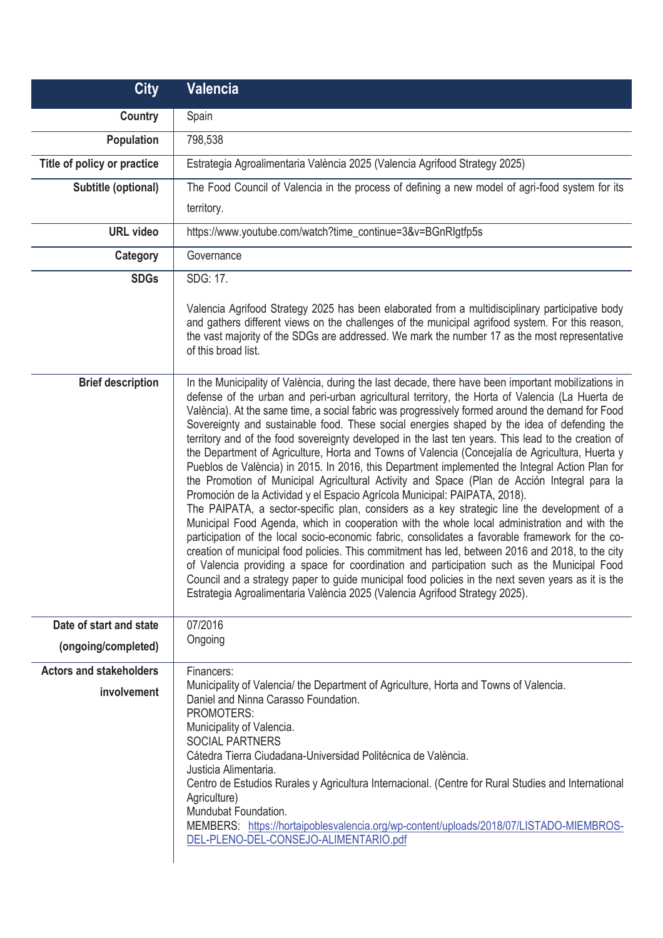| <b>City</b>                                          | <b>Valencia</b>                                                                                                                                                                                                                                                                                                                                                                                                                                                                                                                                                                                                                                                                                                                                                                                                                                                                                                                                                                                                                                                                                                                                                                                                                                                                                                                                                                                                                                                                                                                                                                                |
|------------------------------------------------------|------------------------------------------------------------------------------------------------------------------------------------------------------------------------------------------------------------------------------------------------------------------------------------------------------------------------------------------------------------------------------------------------------------------------------------------------------------------------------------------------------------------------------------------------------------------------------------------------------------------------------------------------------------------------------------------------------------------------------------------------------------------------------------------------------------------------------------------------------------------------------------------------------------------------------------------------------------------------------------------------------------------------------------------------------------------------------------------------------------------------------------------------------------------------------------------------------------------------------------------------------------------------------------------------------------------------------------------------------------------------------------------------------------------------------------------------------------------------------------------------------------------------------------------------------------------------------------------------|
| Country                                              | Spain                                                                                                                                                                                                                                                                                                                                                                                                                                                                                                                                                                                                                                                                                                                                                                                                                                                                                                                                                                                                                                                                                                                                                                                                                                                                                                                                                                                                                                                                                                                                                                                          |
| <b>Population</b>                                    | 798,538                                                                                                                                                                                                                                                                                                                                                                                                                                                                                                                                                                                                                                                                                                                                                                                                                                                                                                                                                                                                                                                                                                                                                                                                                                                                                                                                                                                                                                                                                                                                                                                        |
| Title of policy or practice                          | Estrategia Agroalimentaria València 2025 (Valencia Agrifood Strategy 2025)                                                                                                                                                                                                                                                                                                                                                                                                                                                                                                                                                                                                                                                                                                                                                                                                                                                                                                                                                                                                                                                                                                                                                                                                                                                                                                                                                                                                                                                                                                                     |
| Subtitle (optional)                                  | The Food Council of Valencia in the process of defining a new model of agri-food system for its                                                                                                                                                                                                                                                                                                                                                                                                                                                                                                                                                                                                                                                                                                                                                                                                                                                                                                                                                                                                                                                                                                                                                                                                                                                                                                                                                                                                                                                                                                |
|                                                      | territory.                                                                                                                                                                                                                                                                                                                                                                                                                                                                                                                                                                                                                                                                                                                                                                                                                                                                                                                                                                                                                                                                                                                                                                                                                                                                                                                                                                                                                                                                                                                                                                                     |
| <b>URL</b> video                                     | https://www.youtube.com/watch?time_continue=3&v=BGnRlgtfp5s                                                                                                                                                                                                                                                                                                                                                                                                                                                                                                                                                                                                                                                                                                                                                                                                                                                                                                                                                                                                                                                                                                                                                                                                                                                                                                                                                                                                                                                                                                                                    |
| Category                                             | Governance                                                                                                                                                                                                                                                                                                                                                                                                                                                                                                                                                                                                                                                                                                                                                                                                                                                                                                                                                                                                                                                                                                                                                                                                                                                                                                                                                                                                                                                                                                                                                                                     |
| <b>SDGs</b>                                          | SDG: 17.                                                                                                                                                                                                                                                                                                                                                                                                                                                                                                                                                                                                                                                                                                                                                                                                                                                                                                                                                                                                                                                                                                                                                                                                                                                                                                                                                                                                                                                                                                                                                                                       |
|                                                      | Valencia Agrifood Strategy 2025 has been elaborated from a multidisciplinary participative body<br>and gathers different views on the challenges of the municipal agrifood system. For this reason,<br>the vast majority of the SDGs are addressed. We mark the number 17 as the most representative<br>of this broad list.                                                                                                                                                                                                                                                                                                                                                                                                                                                                                                                                                                                                                                                                                                                                                                                                                                                                                                                                                                                                                                                                                                                                                                                                                                                                    |
| <b>Brief description</b>                             | In the Municipality of València, during the last decade, there have been important mobilizations in<br>defense of the urban and peri-urban agricultural territory, the Horta of Valencia (La Huerta de<br>València). At the same time, a social fabric was progressively formed around the demand for Food<br>Sovereignty and sustainable food. These social energies shaped by the idea of defending the<br>territory and of the food sovereignty developed in the last ten years. This lead to the creation of<br>the Department of Agriculture, Horta and Towns of Valencia (Concejalía de Agricultura, Huerta y<br>Pueblos de València) in 2015. In 2016, this Department implemented the Integral Action Plan for<br>the Promotion of Municipal Agricultural Activity and Space (Plan de Acción Integral para la<br>Promoción de la Actividad y el Espacio Agrícola Municipal: PAIPATA, 2018).<br>The PAIPATA, a sector-specific plan, considers as a key strategic line the development of a<br>Municipal Food Agenda, which in cooperation with the whole local administration and with the<br>participation of the local socio-economic fabric, consolidates a favorable framework for the co-<br>creation of municipal food policies. This commitment has led, between 2016 and 2018, to the city<br>of Valencia providing a space for coordination and participation such as the Municipal Food<br>Council and a strategy paper to guide municipal food policies in the next seven years as it is the<br>Estrategia Agroalimentaria València 2025 (Valencia Agrifood Strategy 2025). |
| Date of start and state                              | 07/2016                                                                                                                                                                                                                                                                                                                                                                                                                                                                                                                                                                                                                                                                                                                                                                                                                                                                                                                                                                                                                                                                                                                                                                                                                                                                                                                                                                                                                                                                                                                                                                                        |
| (ongoing/completed)                                  | Ongoing                                                                                                                                                                                                                                                                                                                                                                                                                                                                                                                                                                                                                                                                                                                                                                                                                                                                                                                                                                                                                                                                                                                                                                                                                                                                                                                                                                                                                                                                                                                                                                                        |
| <b>Actors and stakeholders</b><br><i>involvement</i> | Financers:<br>Municipality of Valencia/ the Department of Agriculture, Horta and Towns of Valencia.<br>Daniel and Ninna Carasso Foundation.<br>PROMOTERS:<br>Municipality of Valencia.<br><b>SOCIAL PARTNERS</b><br>Cátedra Tierra Ciudadana-Universidad Politécnica de València.<br>Justicia Alimentaria.<br>Centro de Estudios Rurales y Agricultura Internacional. (Centre for Rural Studies and International<br>Agriculture)<br>Mundubat Foundation.<br>MEMBERS: https://hortaipoblesvalencia.org/wp-content/uploads/2018/07/LISTADO-MIEMBROS-<br>DEL-PLENO-DEL-CONSEJO-ALIMENTARIO.pdf                                                                                                                                                                                                                                                                                                                                                                                                                                                                                                                                                                                                                                                                                                                                                                                                                                                                                                                                                                                                   |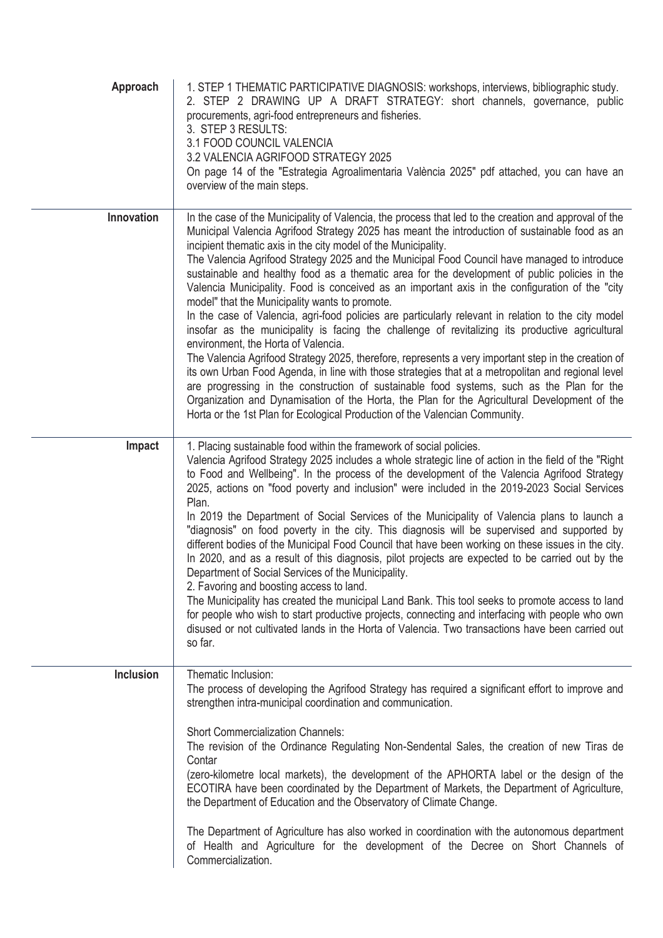| Approach   | 1. STEP 1 THEMATIC PARTICIPATIVE DIAGNOSIS: workshops, interviews, bibliographic study.<br>2. STEP 2 DRAWING UP A DRAFT STRATEGY: short channels, governance, public<br>procurements, agri-food entrepreneurs and fisheries.<br>3. STEP 3 RESULTS:<br>3.1 FOOD COUNCIL VALENCIA<br>3.2 VALENCIA AGRIFOOD STRATEGY 2025<br>On page 14 of the "Estrategia Agroalimentaria València 2025" pdf attached, you can have an<br>overview of the main steps.                                                                                                                                                                                                                                                                                                                                                                                                                                                                                                                                                                                                                                                                                                                                                                                                                                                                                                                       |
|------------|---------------------------------------------------------------------------------------------------------------------------------------------------------------------------------------------------------------------------------------------------------------------------------------------------------------------------------------------------------------------------------------------------------------------------------------------------------------------------------------------------------------------------------------------------------------------------------------------------------------------------------------------------------------------------------------------------------------------------------------------------------------------------------------------------------------------------------------------------------------------------------------------------------------------------------------------------------------------------------------------------------------------------------------------------------------------------------------------------------------------------------------------------------------------------------------------------------------------------------------------------------------------------------------------------------------------------------------------------------------------------|
| Innovation | In the case of the Municipality of Valencia, the process that led to the creation and approval of the<br>Municipal Valencia Agrifood Strategy 2025 has meant the introduction of sustainable food as an<br>incipient thematic axis in the city model of the Municipality.<br>The Valencia Agrifood Strategy 2025 and the Municipal Food Council have managed to introduce<br>sustainable and healthy food as a thematic area for the development of public policies in the<br>Valencia Municipality. Food is conceived as an important axis in the configuration of the "city<br>model" that the Municipality wants to promote.<br>In the case of Valencia, agri-food policies are particularly relevant in relation to the city model<br>insofar as the municipality is facing the challenge of revitalizing its productive agricultural<br>environment, the Horta of Valencia.<br>The Valencia Agrifood Strategy 2025, therefore, represents a very important step in the creation of<br>its own Urban Food Agenda, in line with those strategies that at a metropolitan and regional level<br>are progressing in the construction of sustainable food systems, such as the Plan for the<br>Organization and Dynamisation of the Horta, the Plan for the Agricultural Development of the<br>Horta or the 1st Plan for Ecological Production of the Valencian Community. |
| Impact     | 1. Placing sustainable food within the framework of social policies.<br>Valencia Agrifood Strategy 2025 includes a whole strategic line of action in the field of the "Right<br>to Food and Wellbeing". In the process of the development of the Valencia Agrifood Strategy<br>2025, actions on "food poverty and inclusion" were included in the 2019-2023 Social Services<br>Plan.<br>In 2019 the Department of Social Services of the Municipality of Valencia plans to launch a<br>"diagnosis" on food poverty in the city. This diagnosis will be supervised and supported by<br>different bodies of the Municipal Food Council that have been working on these issues in the city.<br>In 2020, and as a result of this diagnosis, pilot projects are expected to be carried out by the<br>Department of Social Services of the Municipality.<br>2. Favoring and boosting access to land.<br>The Municipality has created the municipal Land Bank. This tool seeks to promote access to land<br>for people who wish to start productive projects, connecting and interfacing with people who own<br>disused or not cultivated lands in the Horta of Valencia. Two transactions have been carried out<br>so far.                                                                                                                                                      |
| Inclusion  | Thematic Inclusion:<br>The process of developing the Agrifood Strategy has required a significant effort to improve and<br>strengthen intra-municipal coordination and communication.<br><b>Short Commercialization Channels:</b><br>The revision of the Ordinance Regulating Non-Sendental Sales, the creation of new Tiras de<br>Contar<br>(zero-kilometre local markets), the development of the APHORTA label or the design of the<br>ECOTIRA have been coordinated by the Department of Markets, the Department of Agriculture,<br>the Department of Education and the Observatory of Climate Change.<br>The Department of Agriculture has also worked in coordination with the autonomous department<br>of Health and Agriculture for the development of the Decree on Short Channels of<br>Commercialization.                                                                                                                                                                                                                                                                                                                                                                                                                                                                                                                                                      |